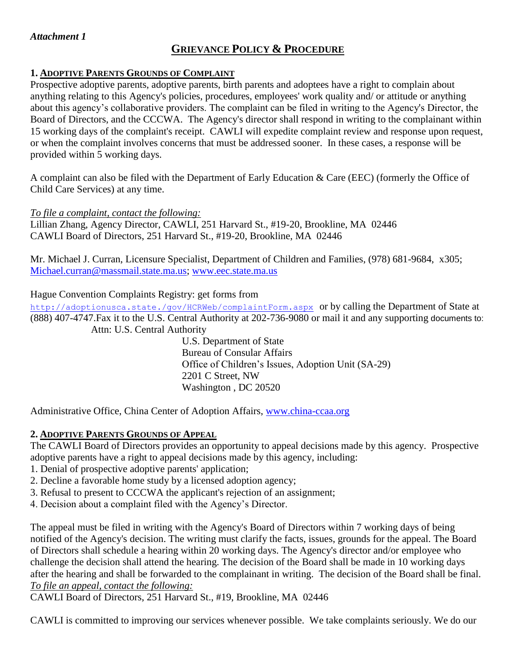## *Attachment 1*

# **GRIEVANCE POLICY & PROCEDURE**

## **1. ADOPTIVE PARENTS GROUNDS OF COMPLAINT**

Prospective adoptive parents, adoptive parents, birth parents and adoptees have a right to complain about anything relating to this Agency's policies, procedures, employees' work quality and/ or attitude or anything about this agency's collaborative providers. The complaint can be filed in writing to the Agency's Director, the Board of Directors, and the CCCWA. The Agency's director shall respond in writing to the complainant within 15 working days of the complaint's receipt. CAWLI will expedite complaint review and response upon request, or when the complaint involves concerns that must be addressed sooner. In these cases, a response will be provided within 5 working days.

A complaint can also be filed with the Department of Early Education & Care (EEC) (formerly the Office of Child Care Services) at any time.

*To file a complaint, contact the following:*

Lillian Zhang, Agency Director, CAWLI, 251 Harvard St., #19-20, Brookline, MA 02446 CAWLI Board of Directors, 251 Harvard St., #19-20, Brookline, MA 02446

Mr. Michael J. Curran, Licensure Specialist, Department of Children and Families, (978) 681-9684, x305; [Michael.curran@massmail.state.ma.us;](mailto:Michael.curran@massmail.state.ma.us) [www.eec.state.ma.us](http://www.eec.state.ma.us/)

## Hague Convention Complaints Registry: get forms from

<http://adoptionusca.state./gov/HCRWeb/complaintForm.aspx> or by calling the Department of State at (888) 407-4747.Fax it to the U.S. Central Authority at 202-736-9080 or mail it and any supporting documents to: Attn: U.S. Central Authority

> U.S. Department of State Bureau of Consular Affairs Office of Children's Issues, Adoption Unit (SA-29) 2201 C Street, NW Washington , DC 20520

Administrative Office, China Center of Adoption Affairs, [www.china-ccaa.org](http://www.china-ccaa.org/)

## **2. ADOPTIVE PARENTS GROUNDS OF APPEAL**

The CAWLI Board of Directors provides an opportunity to appeal decisions made by this agency. Prospective adoptive parents have a right to appeal decisions made by this agency, including:

- 1. Denial of prospective adoptive parents' application;
- 2. Decline a favorable home study by a licensed adoption agency;
- 3. Refusal to present to CCCWA the applicant's rejection of an assignment;
- 4. Decision about a complaint filed with the Agency's Director.

The appeal must be filed in writing with the Agency's Board of Directors within 7 working days of being notified of the Agency's decision. The writing must clarify the facts, issues, grounds for the appeal. The Board of Directors shall schedule a hearing within 20 working days. The Agency's director and/or employee who challenge the decision shall attend the hearing. The decision of the Board shall be made in 10 working days after the hearing and shall be forwarded to the complainant in writing. The decision of the Board shall be final. *To file an appeal, contact the following:*

CAWLI Board of Directors, 251 Harvard St., #19, Brookline, MA 02446

CAWLI is committed to improving our services whenever possible. We take complaints seriously. We do our